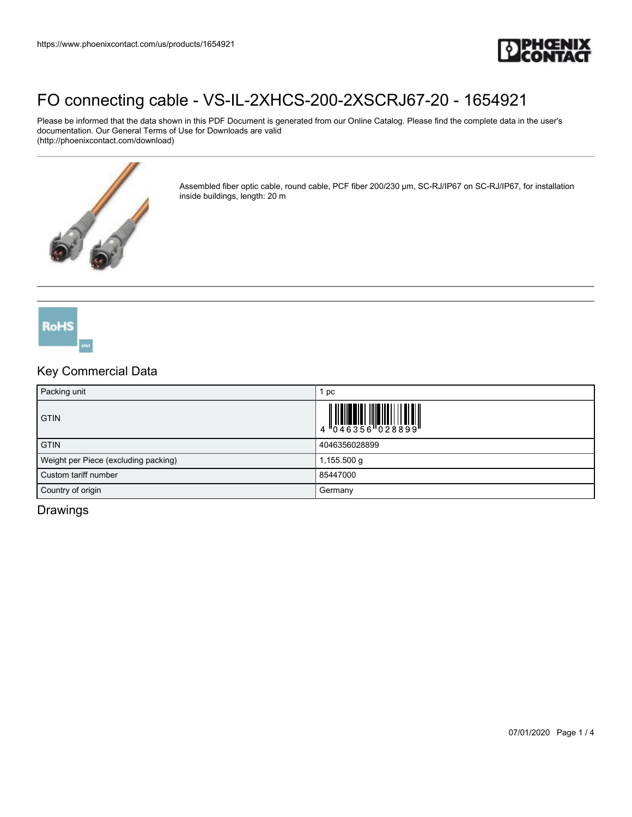

Please be informed that the data shown in this PDF Document is generated from our Online Catalog. Please find the complete data in the user's documentation. Our General Terms of Use for Downloads are valid (http://phoenixcontact.com/download)



Assembled fiber optic cable, round cable, PCF fiber 200/230 µm, SC-RJ/IP67 on SC-RJ/IP67, for installation inside buildings, length: 20 m



### Key Commercial Data

| Packing unit                         | pc            |  |
|--------------------------------------|---------------|--|
| <b>GTIN</b>                          |               |  |
| <b>GTIN</b>                          | 4046356028899 |  |
| Weight per Piece (excluding packing) | 1,155.500 g   |  |
| Custom tariff number                 | 85447000      |  |
| Country of origin                    | Germany       |  |

### Drawings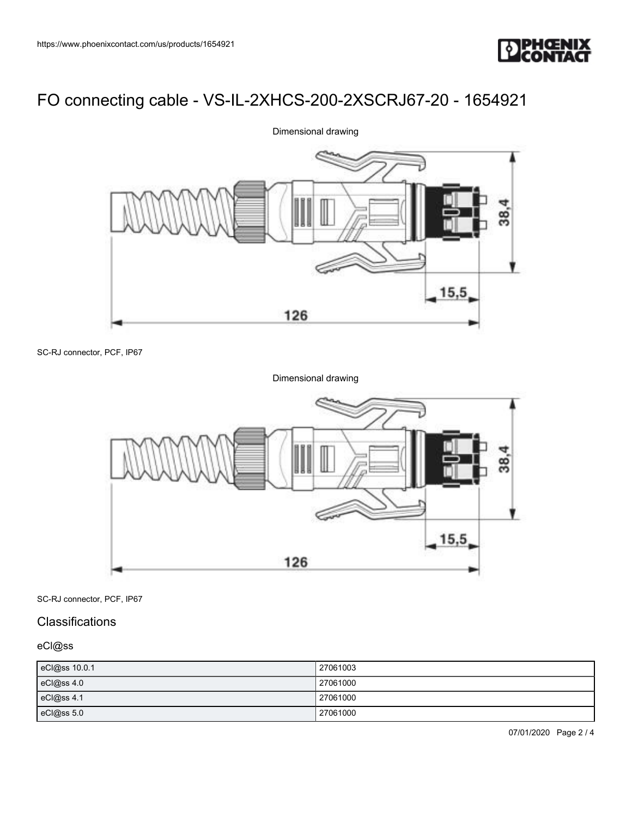



SC-RJ connector, PCF, IP67

Dimensional drawing

![](_page_1_Figure_6.jpeg)

SC-RJ connector, PCF, IP67

#### **Classifications**

eCl@ss

| eCl@ss 10.0.1 | 27061003 |
|---------------|----------|
| eCl@ss 4.0    | 27061000 |
| eCl@ss 4.1    | 27061000 |
| eCl@ss 5.0    | 27061000 |

07/01/2020 Page 2 / 4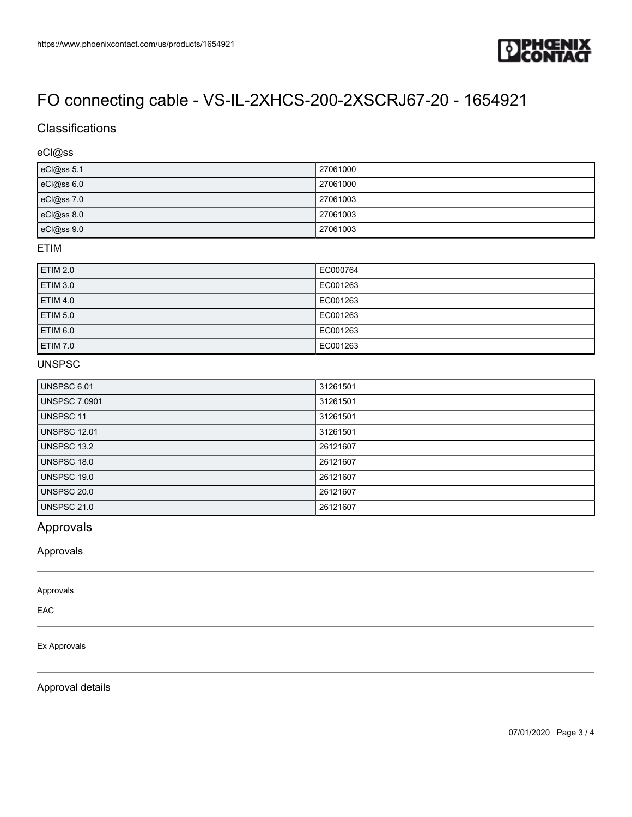![](_page_2_Picture_1.jpeg)

## **Classifications**

#### eCl@ss

| eCl@ss 5.1 | 27061000 |
|------------|----------|
| eCl@ss 6.0 | 27061000 |
| eCl@ss 7.0 | 27061003 |
| eCl@ss 8.0 | 27061003 |
| eCl@ss 9.0 | 27061003 |

#### ETIM

| <b>ETIM 2.0</b> | EC000764 |
|-----------------|----------|
| <b>ETIM 3.0</b> | EC001263 |
| <b>ETIM 4.0</b> | EC001263 |
| <b>ETIM 5.0</b> | EC001263 |
| ETIM 6.0        | EC001263 |
| <b>ETIM 7.0</b> | EC001263 |

### UNSPSC

| UNSPSC 6.01          | 31261501 |
|----------------------|----------|
| <b>UNSPSC 7.0901</b> | 31261501 |
| UNSPSC 11            | 31261501 |
| <b>UNSPSC 12.01</b>  | 31261501 |
| <b>UNSPSC 13.2</b>   | 26121607 |
| UNSPSC 18.0          | 26121607 |
| UNSPSC 19.0          | 26121607 |
| <b>UNSPSC 20.0</b>   | 26121607 |
| <b>UNSPSC 21.0</b>   | 26121607 |

### Approvals

Approvals

Approvals

EAC

#### Ex Approvals

Approval details